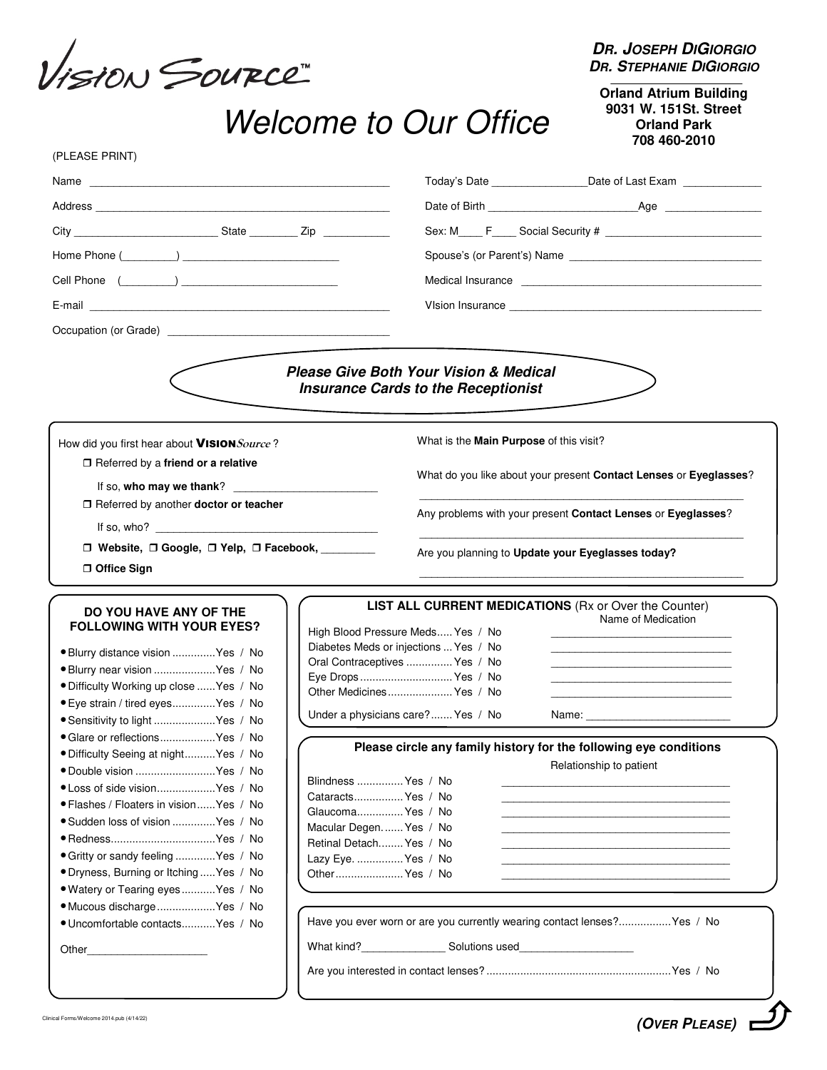VISION SOURCE

**DR. JOSEPH DIGIORGIO DR. STEPHANIE DIGIORGIO**

## Welcome to Our Office

**Orland Atrium Building 9031 W. 151St. Street Orland Park 708 460-2010** 

| (PLEASE PRINT) |  |
|----------------|--|

|                                                                                                                                                                                                                                                                   | Today's Date ____________________Date of Last Exam _______________                                                                                                                                                                                                                        |
|-------------------------------------------------------------------------------------------------------------------------------------------------------------------------------------------------------------------------------------------------------------------|-------------------------------------------------------------------------------------------------------------------------------------------------------------------------------------------------------------------------------------------------------------------------------------------|
|                                                                                                                                                                                                                                                                   |                                                                                                                                                                                                                                                                                           |
|                                                                                                                                                                                                                                                                   |                                                                                                                                                                                                                                                                                           |
|                                                                                                                                                                                                                                                                   |                                                                                                                                                                                                                                                                                           |
| Home Phone $(\_\_ \_\_ )$                                                                                                                                                                                                                                         |                                                                                                                                                                                                                                                                                           |
|                                                                                                                                                                                                                                                                   |                                                                                                                                                                                                                                                                                           |
|                                                                                                                                                                                                                                                                   |                                                                                                                                                                                                                                                                                           |
|                                                                                                                                                                                                                                                                   |                                                                                                                                                                                                                                                                                           |
|                                                                                                                                                                                                                                                                   | <b>Please Give Both Your Vision &amp; Medical</b><br><b>Insurance Cards to the Receptionist</b>                                                                                                                                                                                           |
| How did you first hear about VISION Source?                                                                                                                                                                                                                       | What is the Main Purpose of this visit?                                                                                                                                                                                                                                                   |
| $\Box$ Referred by a friend or a relative<br>If so, who may we thank? $\qquad \qquad$                                                                                                                                                                             | What do you like about your present Contact Lenses or Eyeglasses?                                                                                                                                                                                                                         |
| □ Referred by another doctor or teacher                                                                                                                                                                                                                           | Any problems with your present Contact Lenses or Eyeglasses?                                                                                                                                                                                                                              |
| □ Website, □ Google, □ Yelp, □ Facebook,                                                                                                                                                                                                                          | Are you planning to Update your Eyeglasses today?                                                                                                                                                                                                                                         |
| □ Office Sign                                                                                                                                                                                                                                                     |                                                                                                                                                                                                                                                                                           |
|                                                                                                                                                                                                                                                                   |                                                                                                                                                                                                                                                                                           |
| DO YOU HAVE ANY OF THE<br><b>FOLLOWING WITH YOUR EYES?</b><br>· Blurry distance vision  Yes / No<br>· Blurry near vision  Yes / No<br>. Difficulty Working up close  Yes / No<br>· Eye strain / tired eyes Yes / No                                               | <b>LIST ALL CURRENT MEDICATIONS (Rx or Over the Counter)</b><br>Name of Medication<br>High Blood Pressure Meds Yes / No<br>Diabetes Meds or injections  Yes / No<br>Oral Contraceptives  Yes / No<br>Eye Drops  Yes / No<br>Other Medicines Yes / No<br>Under a physicians care? Yes / No |
| • Sensitivity to light  Yes / No<br>• Glare or reflectionsYes / No<br>· Difficulty Seeing at night Yes / No                                                                                                                                                       | Please circle any family history for the following eye conditions                                                                                                                                                                                                                         |
| · Double vision  Yes / No<br>● Loss of side visionYes / No<br>• Flashes / Floaters in vision Yes / No<br>· Sudden loss of vision  Yes / No<br>• Gritty or sandy feeling Yes / No<br>• Dryness, Burning or Itching  Yes / No<br>· Watery or Tearing eyes  Yes / No | Relationship to patient<br>Blindness  Yes / No<br>CataractsYes / No<br>Glaucoma Yes / No<br>Macular Degen Yes / No<br>Retinal Detach Yes / No<br>Lazy Eye.  Yes / No<br>Other Yes / No                                                                                                    |
| · Mucous discharge  Yes / No<br>· Uncomfortable contacts Yes / No<br>Other                                                                                                                                                                                        | Have you ever worn or are you currently wearing contact lenses? Yes / No<br>What kind?________________________ Solutions used_______________________________                                                                                                                              |